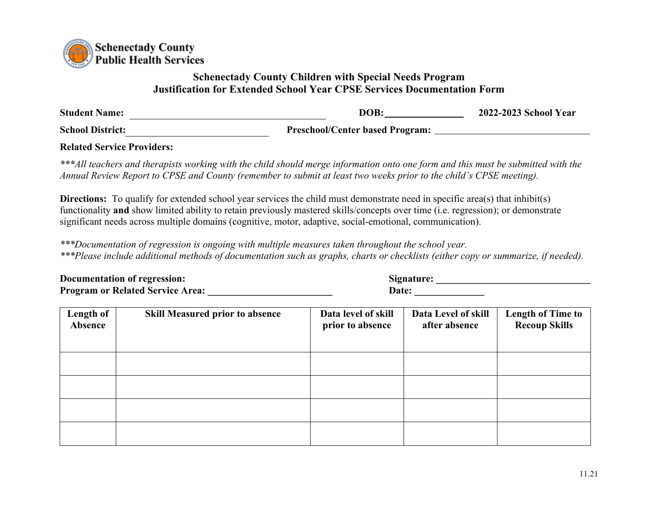

## **Schenectady County Children with Special Needs Program Justification for Extended School Year CPSE Services Documentation Form**

| <b>Student Name:</b>    | DOB:                                   | 2022-2023 School Year |
|-------------------------|----------------------------------------|-----------------------|
| <b>School District:</b> | <b>Preschool/Center based Program:</b> |                       |
|                         |                                        |                       |

**Related Service Providers:** 

*\*\*\*All teachers and therapists working with the child should merge information onto one form and this must be submitted with the Annual Review Report to CPSE and County (remember to submit at least two weeks prior to the child's CPSE meeting).* 

**Directions:** To qualify for extended school year services the child must demonstrate need in specific area(s) that inhibit(s) functionality **and** show limited ability to retain previously mastered skills/concepts over time (i.e. regression); or demonstrate significant needs across multiple domains (cognitive, motor, adaptive, social-emotional, communication).

*\*\*\*Documentation of regression is ongoing with multiple measures taken throughout the school year. \*\*\*Please include additional methods of documentation such as graphs, charts or checklists (either copy or summarize, if needed).*

| Documentation of regression:            | Signature:   |  |
|-----------------------------------------|--------------|--|
| <b>Program or Related Service Area:</b> | <b>Date:</b> |  |

**Documentarion:** <u>**Documentary contract of the system of the system of the system of the system of the system of the system of the system of the system of the system of the system of the system of the system of the system </u>** 

| Length of<br>Absence | <b>Skill Measured prior to absence</b> | Data level of skill<br>prior to absence | Data Level of skill<br>after absence | <b>Length of Time to</b><br><b>Recoup Skills</b> |
|----------------------|----------------------------------------|-----------------------------------------|--------------------------------------|--------------------------------------------------|
|                      |                                        |                                         |                                      |                                                  |
|                      |                                        |                                         |                                      |                                                  |
|                      |                                        |                                         |                                      |                                                  |
|                      |                                        |                                         |                                      |                                                  |